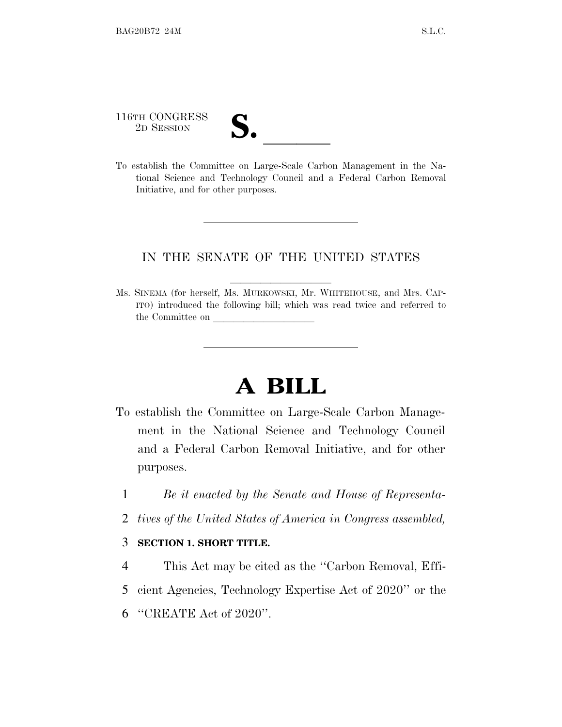116TH CONGRESS

116TH CONGRESS<br>
2D SESSION<br>
To establish the Committee on Large-Scale Carbon Management in the National Science and Technology Council and a Federal Carbon Removal Initiative, and for other purposes.

## IN THE SENATE OF THE UNITED STATES

Ms. SINEMA (for herself, Ms. MURKOWSKI, Mr. WHITEHOUSE, and Mrs. CAP-ITO) introduced the following bill; which was read twice and referred to the Committee on

## **A BILL**

- To establish the Committee on Large-Scale Carbon Management in the National Science and Technology Council and a Federal Carbon Removal Initiative, and for other purposes.
	- 1 *Be it enacted by the Senate and House of Representa-*
	- 2 *tives of the United States of America in Congress assembled,*

## 3 **SECTION 1. SHORT TITLE.**

- 4 This Act may be cited as the ''Carbon Removal, Effi-
- 5 cient Agencies, Technology Expertise Act of 2020'' or the
- 6 ''CREATE Act of 2020''.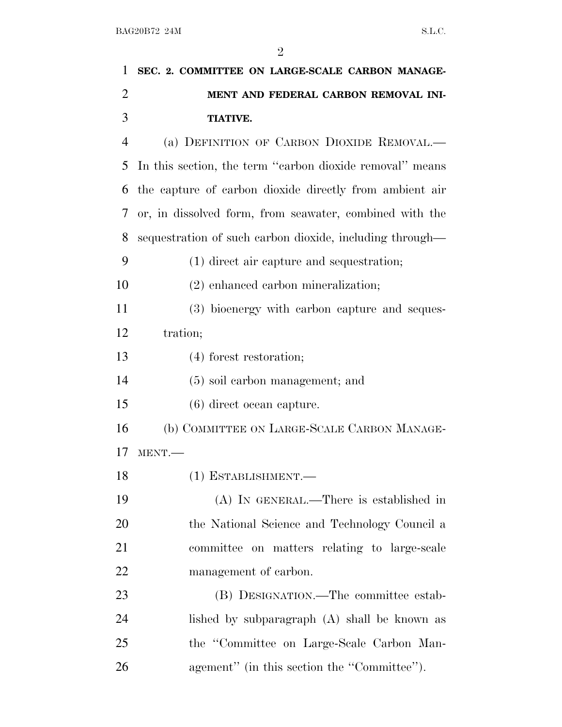| 1              | SEC. 2. COMMITTEE ON LARGE-SCALE CARBON MANAGE-          |
|----------------|----------------------------------------------------------|
| 2              | MENT AND FEDERAL CARBON REMOVAL INI-                     |
| 3              | <b>TIATIVE.</b>                                          |
| $\overline{4}$ | (a) DEFINITION OF CARBON DIOXIDE REMOVAL.—               |
| 5              | In this section, the term "carbon dioxide removal" means |
| 6              | the capture of carbon dioxide directly from ambient air  |
| 7              | or, in dissolved form, from seawater, combined with the  |
| 8              | sequestration of such carbon dioxide, including through— |
| 9              | $(1)$ direct air capture and sequestration;              |
| 10             | $(2)$ enhanced carbon mineralization;                    |
| 11             | (3) bioenergy with carbon capture and seques-            |
| 12             | tration;                                                 |
| 13             | $(4)$ forest restoration;                                |
| 14             | $(5)$ soil carbon management; and                        |
| 15             | $(6)$ direct ocean capture.                              |
| 16             | (b) COMMITTEE ON LARGE-SCALE CARBON MANAGE-              |
| 17             | MENT.                                                    |
| 18             | $(1)$ ESTABLISHMENT.—                                    |
| 19             | $(A)$ In GENERAL.—There is established in                |
| 20             | the National Science and Technology Council a            |
| 21             | committee on matters relating to large-scale             |
| 22             | management of carbon.                                    |
| 23             | (B) DESIGNATION.—The committee estab-                    |
| 24             | lished by subparagraph (A) shall be known as             |
| 25             | the "Committee on Large-Scale Carbon Man-                |
| 26             | agement" (in this section the "Committee").              |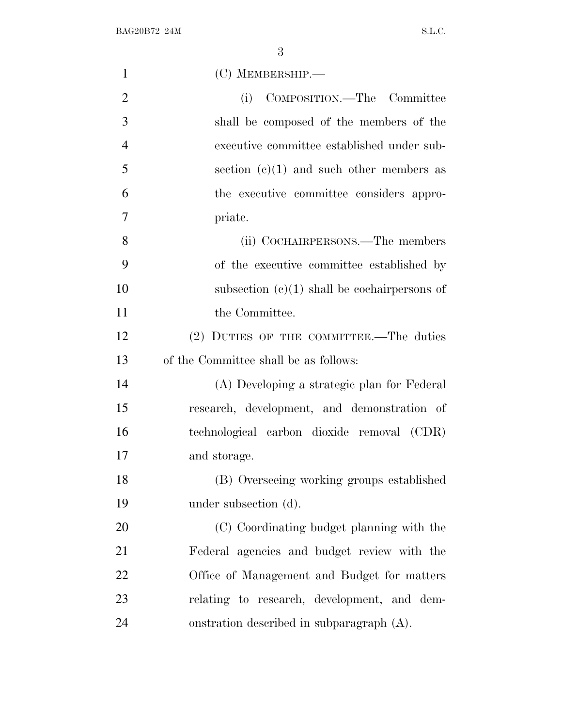| $\mathbf{1}$   | $(C)$ MEMBERSHIP.—                             |
|----------------|------------------------------------------------|
| $\overline{2}$ | COMPOSITION.—The Committee<br>(i)              |
| 3              | shall be composed of the members of the        |
| $\overline{4}$ | executive committee established under sub-     |
| 5              | section $(e)(1)$ and such other members as     |
| 6              | the executive committee considers appro-       |
| 7              | priate.                                        |
| 8              | (ii) COCHAIRPERSONS.—The members               |
| 9              | of the executive committee established by      |
| 10             | subsection $(e)(1)$ shall be cochairpersons of |
| 11             | the Committee.                                 |
| 12             | (2) DUTIES OF THE COMMITTEE.—The duties        |
| 13             | of the Committee shall be as follows:          |
| 14             | (A) Developing a strategic plan for Federal    |
| 15             | research, development, and demonstration of    |
| 16             | technological carbon dioxide removal (CDR)     |
| 17             | and storage.                                   |
| 18             | (B) Overseeing working groups established      |
| 19             | under subsection (d).                          |
| 20             | (C) Coordinating budget planning with the      |
| 21             | Federal agencies and budget review with the    |
| 22             | Office of Management and Budget for matters    |
| 23             | relating to research, development, and dem-    |
| 24             | onstration described in subparagraph (A).      |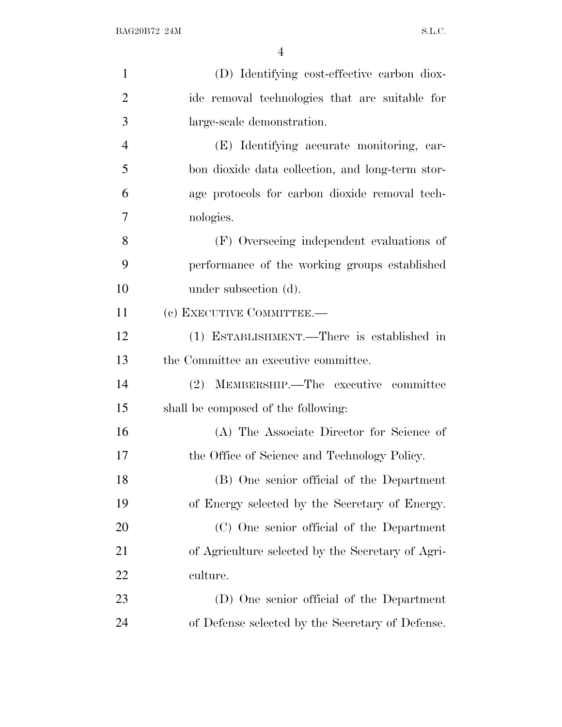| $\mathbf{1}$   | (D) Identifying cost-effective carbon diox-       |
|----------------|---------------------------------------------------|
| $\overline{2}$ | ide removal technologies that are suitable for    |
| 3              | large-scale demonstration.                        |
| $\overline{4}$ | (E) Identifying accurate monitoring, car-         |
| 5              | bon dioxide data collection, and long-term stor-  |
| 6              | age protocols for carbon dioxide removal tech-    |
| 7              | nologies.                                         |
| 8              | (F) Overseeing independent evaluations of         |
| 9              | performance of the working groups established     |
| 10             | under subsection (d).                             |
| 11             | (c) EXECUTIVE COMMITTEE.-                         |
| 12             | (1) ESTABLISHMENT.—There is established in        |
| 13             | the Committee an executive committee.             |
| 14             | (2) MEMBERSHIP.—The executive committee           |
| 15             | shall be composed of the following:               |
| 16             | (A) The Associate Director for Science of         |
| 17             | the Office of Science and Technology Policy.      |
| 18             | (B) One senior official of the Department         |
| 19             | of Energy selected by the Secretary of Energy.    |
| 20             | (C) One senior official of the Department         |
| 21             | of Agriculture selected by the Secretary of Agri- |
| 22             | culture.                                          |
| 23             | (D) One senior official of the Department         |
| 24             | of Defense selected by the Secretary of Defense.  |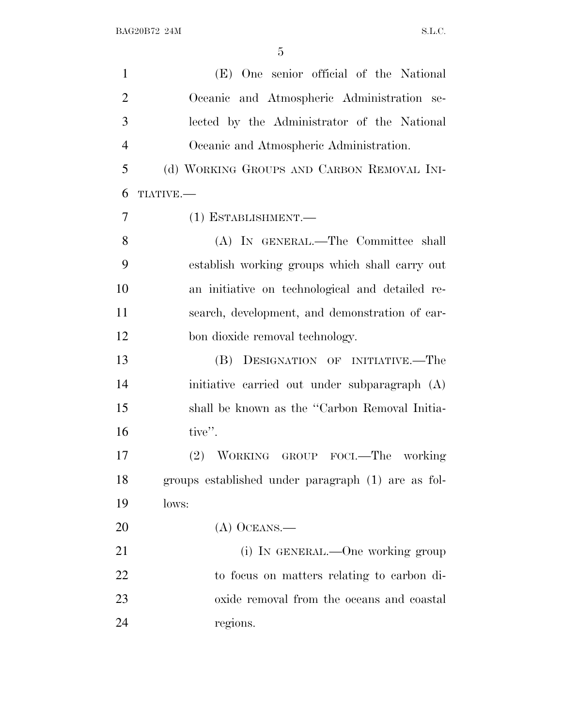| $\mathbf{1}$   | (E) One senior official of the National            |
|----------------|----------------------------------------------------|
| $\overline{2}$ | Oceanic and Atmospheric Administration se-         |
| 3              | lected by the Administrator of the National        |
| $\overline{4}$ | Oceanic and Atmospheric Administration.            |
| 5              | (d) WORKING GROUPS AND CARBON REMOVAL INI-         |
| 6              | TIATIVE.                                           |
| $\overline{7}$ | (1) ESTABLISHMENT.-                                |
| 8              | (A) IN GENERAL.—The Committee shall                |
| 9              | establish working groups which shall carry out     |
| 10             | an initiative on technological and detailed re-    |
| 11             | search, development, and demonstration of car-     |
| 12             | bon dioxide removal technology.                    |
| 13             | (B) DESIGNATION OF INITIATIVE.—The                 |
| 14             | initiative carried out under subparagraph (A)      |
| 15             | shall be known as the "Carbon Removal Initia-      |
| 16             | tive".                                             |
| 17             | (2) WORKING GROUP FOCL—The working                 |
| 18             | groups established under paragraph (1) are as fol- |
| 19             | lows:                                              |
| 20             | $(A)$ OCEANS.—                                     |
| 21             | (i) IN GENERAL.—One working group                  |
| 22             | to focus on matters relating to carbon di-         |
| 23             | oxide removal from the oceans and coastal          |
| 24             | regions.                                           |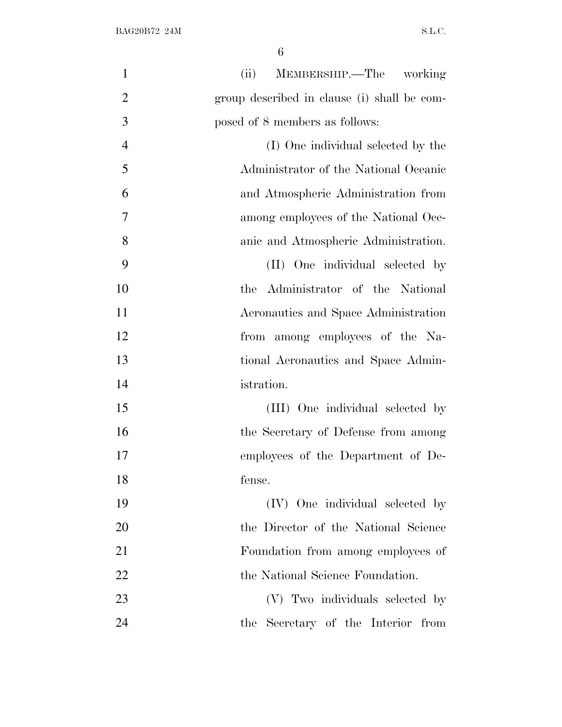| $\mathbf{1}$   | (ii)<br>MEMBERSHIP.—The working             |
|----------------|---------------------------------------------|
| $\overline{2}$ | group described in clause (i) shall be com- |
| 3              | posed of 8 members as follows:              |
| $\overline{4}$ | (I) One individual selected by the          |
| 5              | Administrator of the National Oceanic       |
| 6              | and Atmospheric Administration from         |
| 7              | among employees of the National Oce-        |
| 8              | anic and Atmospheric Administration.        |
| 9              | (II) One individual selected by             |
| 10             | the Administrator of the National           |
| 11             | Aeronautics and Space Administration        |
| 12             | from among employees of the Na-             |
| 13             | tional Aeronautics and Space Admin-         |
| 14             | istration.                                  |
| 15             | (III) One individual selected by            |
| 16             | the Secretary of Defense from among         |
| 17             | employees of the Department of De-          |
| 18             | fense.                                      |
| 19             | (IV) One individual selected by             |
| 20             | the Director of the National Science        |
| 21             | Foundation from among employees of          |
| 22             | the National Science Foundation.            |
| 23             | (V) Two individuals selected by             |
| 24             | the Secretary of the Interior from          |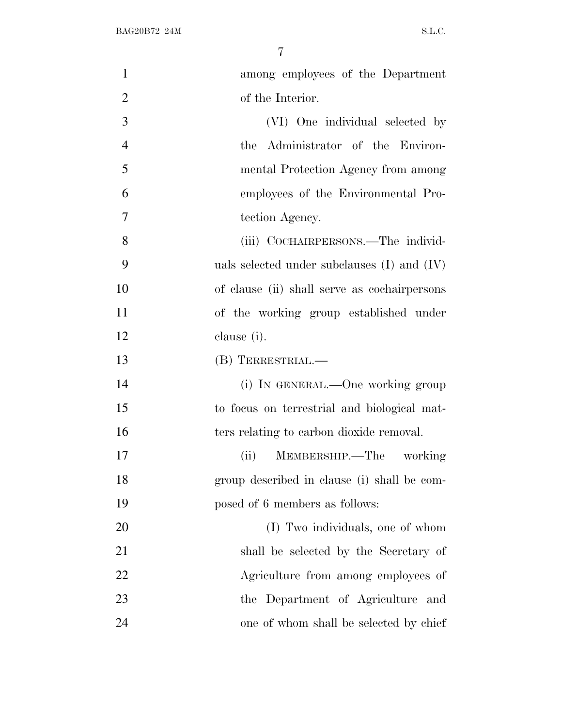| $\mathbf{1}$   | among employees of the Department               |
|----------------|-------------------------------------------------|
| $\overline{2}$ | of the Interior.                                |
| 3              | (VI) One individual selected by                 |
| $\overline{4}$ | the Administrator of the Environ-               |
| 5              | mental Protection Agency from among             |
| 6              | employees of the Environmental Pro-             |
| 7              | tection Agency.                                 |
| 8              | (iii) COCHAIRPERSONS.—The individ-              |
| 9              | uals selected under subclauses $(I)$ and $(IV)$ |
| 10             | of clause (ii) shall serve as cochairpersons    |
| 11             | of the working group established under          |
| 12             | clause (i).                                     |
| 13             | (B) TERRESTRIAL.—                               |
| 14             | (i) IN GENERAL.—One working group               |
| 15             | to focus on terrestrial and biological mat-     |
| 16             | ters relating to carbon dioxide removal.        |
| 17             | MEMBERSHIP.—The working<br>(ii)                 |
| 18             | group described in clause (i) shall be com-     |
| 19             | posed of 6 members as follows:                  |
| 20             | (I) Two individuals, one of whom                |
| 21             | shall be selected by the Secretary of           |
| 22             | Agriculture from among employees of             |
| 23             | the Department of Agriculture and               |
| 24             | one of whom shall be selected by chief          |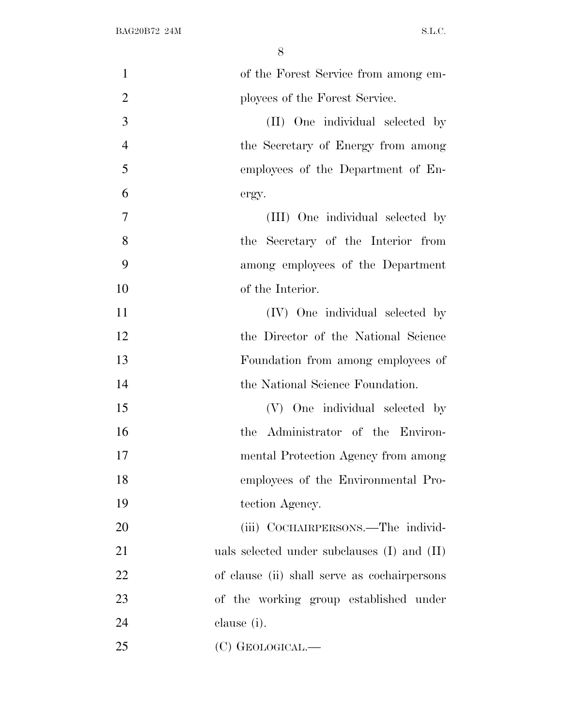| $\mathbf{1}$   | of the Forest Service from among em-            |
|----------------|-------------------------------------------------|
| $\overline{2}$ | ployees of the Forest Service.                  |
| 3              | (II) One individual selected by                 |
| $\overline{4}$ | the Secretary of Energy from among              |
| 5              | employees of the Department of En-              |
| 6              | ergy.                                           |
| $\overline{7}$ | (III) One individual selected by                |
| 8              | the Secretary of the Interior from              |
| 9              | among employees of the Department               |
| 10             | of the Interior.                                |
| 11             | (IV) One individual selected by                 |
| 12             | the Director of the National Science            |
| 13             | Foundation from among employees of              |
| 14             | the National Science Foundation.                |
| 15             | (V) One individual selected by                  |
| 16             | the Administrator of the Environ-               |
| 17             | mental Protection Agency from among             |
| 18             | employees of the Environmental Pro-             |
| 19             | tection Agency.                                 |
| 20             | (iii) COCHAIRPERSONS.—The individ-              |
| 21             | uals selected under subclauses $(I)$ and $(II)$ |
| 22             | of clause (ii) shall serve as cochairpersons    |
| 23             | of the working group established under          |
| 24             | clause (i).                                     |
| 25             | (C) GEOLOGICAL.—                                |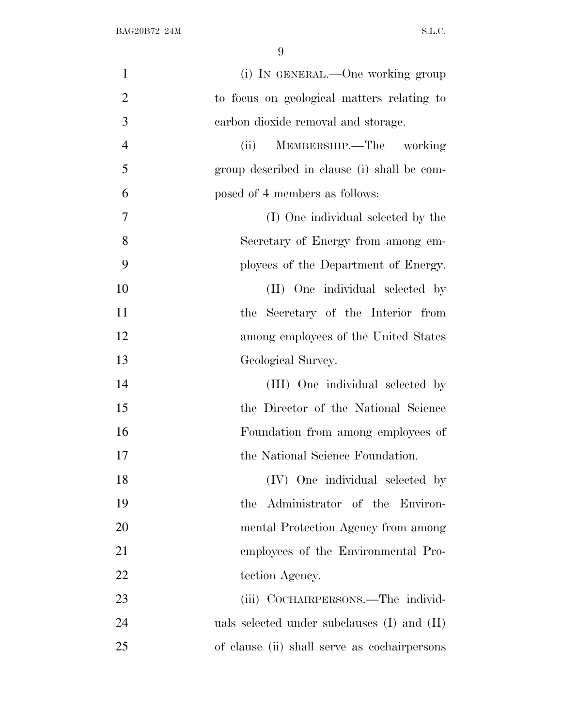| $\mathbf{1}$   | (i) IN GENERAL.—One working group               |
|----------------|-------------------------------------------------|
| $\overline{2}$ | to focus on geological matters relating to      |
| 3              | carbon dioxide removal and storage.             |
| $\overline{4}$ | MEMBERSHIP.—The working<br>(ii)                 |
| 5              | group described in clause (i) shall be com-     |
| 6              | posed of 4 members as follows:                  |
| 7              | (I) One individual selected by the              |
| 8              | Secretary of Energy from among em-              |
| 9              | ployees of the Department of Energy.            |
| 10             | (II) One individual selected by                 |
| 11             | the Secretary of the Interior from              |
| 12             | among employees of the United States            |
| 13             | Geological Survey.                              |
| 14             | (III) One individual selected by                |
| 15             | the Director of the National Science            |
| 16             | Foundation from among employees of              |
| 17             | the National Science Foundation.                |
| 18             | (IV) One individual selected by                 |
| 19             | the Administrator of the Environ-               |
| 20             | mental Protection Agency from among             |
| 21             | employees of the Environmental Pro-             |
| 22             | tection Agency.                                 |
| 23             | (iii) COCHAIRPERSONS.—The individ-              |
| 24             | uals selected under subclauses $(I)$ and $(II)$ |
| 25             | of clause (ii) shall serve as cochairpersons    |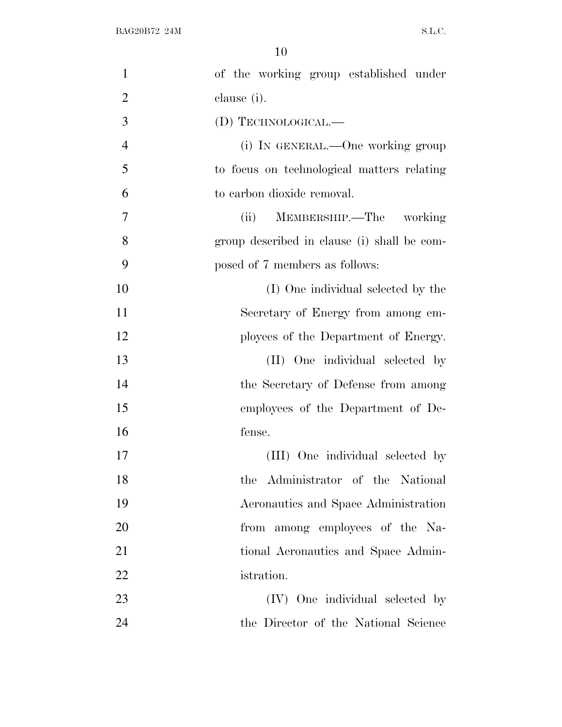| $\mathbf 1$    | of the working group established under      |
|----------------|---------------------------------------------|
| $\overline{2}$ | clause (i).                                 |
| 3              | (D) TECHNOLOGICAL.—                         |
| $\overline{4}$ | (i) IN GENERAL.—One working group           |
| 5              | to focus on technological matters relating  |
| 6              | to carbon dioxide removal.                  |
| 7              | MEMBERSHIP.—The working<br>(ii)             |
| 8              | group described in clause (i) shall be com- |
| 9              | posed of 7 members as follows:              |
| 10             | (I) One individual selected by the          |
| 11             | Secretary of Energy from among em-          |
| 12             | ployees of the Department of Energy.        |
| 13             | (II) One individual selected by             |
| 14             | the Secretary of Defense from among         |
| 15             | employees of the Department of De-          |
| 16             | fense.                                      |
| 17             | (III) One individual selected by            |
| 18             | the Administrator of the National           |
| 19             | Aeronautics and Space Administration        |
| 20             | from among employees of the Na-             |
| 21             | tional Aeronautics and Space Admin-         |
| 22             | istration.                                  |
| 23             | (IV) One individual selected by             |
| 24             | the Director of the National Science        |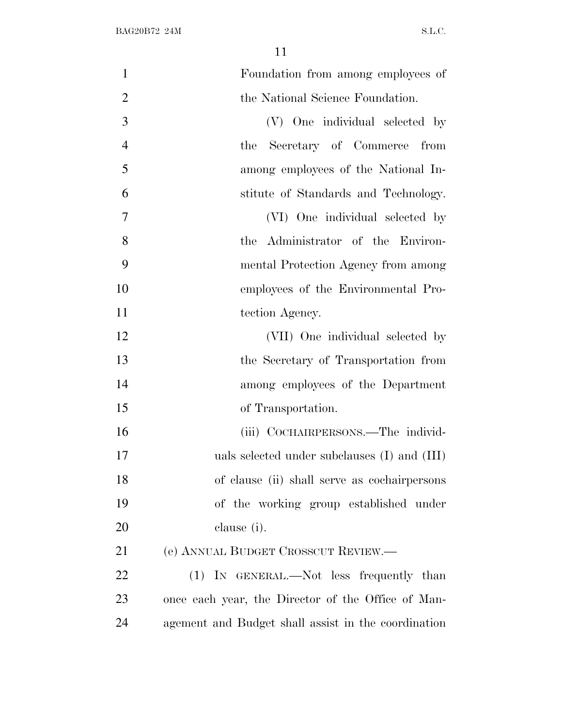| $\mathbf{1}$   | Foundation from among employees of                  |
|----------------|-----------------------------------------------------|
| $\overline{2}$ | the National Science Foundation.                    |
| 3              | (V) One individual selected by                      |
| $\overline{4}$ | Secretary of Commerce from<br>the                   |
| 5              | among employees of the National In-                 |
| 6              | stitute of Standards and Technology.                |
| $\overline{7}$ | (VI) One individual selected by                     |
| 8              | the Administrator of the Environ-                   |
| 9              | mental Protection Agency from among                 |
| 10             | employees of the Environmental Pro-                 |
| 11             | tection Agency.                                     |
| 12             | (VII) One individual selected by                    |
| 13             | the Secretary of Transportation from                |
| 14             | among employees of the Department                   |
| 15             | of Transportation.                                  |
| 16             | (iii) COCHAIRPERSONS.—The individ-                  |
| 17             | uals selected under subclauses (I) and (III)        |
| 18             | of clause (ii) shall serve as cochairpersons        |
| 19             | of the working group established under              |
| 20             | clause (i).                                         |
| 21             | (e) ANNUAL BUDGET CROSSCUT REVIEW.—                 |
| 22             | (1) IN GENERAL.—Not less frequently than            |
| 23             | once each year, the Director of the Office of Man-  |
| 24             | agement and Budget shall assist in the coordination |